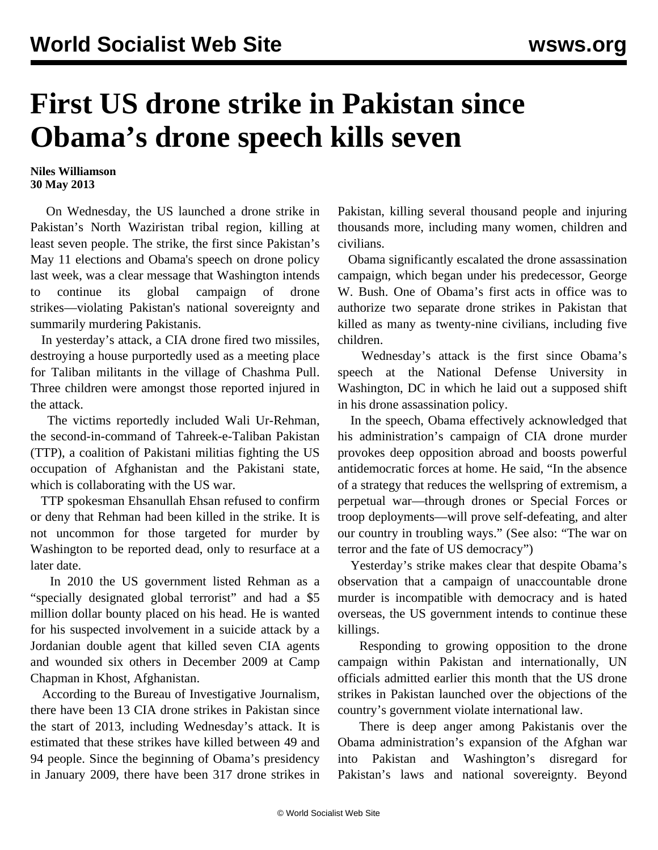## **First US drone strike in Pakistan since Obama's drone speech kills seven**

## **Niles Williamson 30 May 2013**

 On Wednesday, the US launched a drone strike in Pakistan's North Waziristan tribal region, killing at least seven people. The strike, the first since Pakistan's May 11 elections and Obama's speech on drone policy last week, was a clear message that Washington intends to continue its global campaign of drone strikes—violating Pakistan's national sovereignty and summarily murdering Pakistanis.

 In yesterday's attack, a CIA drone fired two missiles, destroying a house purportedly used as a meeting place for Taliban militants in the village of Chashma Pull. Three children were amongst those reported injured in the attack.

 The victims reportedly included Wali Ur-Rehman, the second-in-command of Tahreek-e-Taliban Pakistan (TTP), a coalition of Pakistani militias fighting the US occupation of Afghanistan and the Pakistani state, which is collaborating with the US war.

 TTP spokesman Ehsanullah Ehsan refused to confirm or deny that Rehman had been killed in the strike. It is not uncommon for those targeted for murder by Washington to be reported dead, only to resurface at a later date.

 In 2010 the US government listed Rehman as a "specially designated global terrorist" and had a \$5 million dollar bounty placed on his head. He is wanted for his suspected involvement in a suicide attack by a Jordanian double agent that killed seven CIA agents and wounded six others in December 2009 at Camp Chapman in Khost, Afghanistan.

 According to the Bureau of Investigative Journalism, there have been 13 CIA drone strikes in Pakistan since the start of 2013, including Wednesday's attack. It is estimated that these strikes have killed between 49 and 94 people. Since the beginning of Obama's presidency in January 2009, there have been 317 drone strikes in Pakistan, killing several thousand people and injuring thousands more, including many women, children and civilians.

 Obama significantly escalated the drone assassination campaign, which began under his predecessor, George W. Bush. One of Obama's first acts in office was to authorize two separate drone strikes in Pakistan that killed as many as twenty-nine civilians, including five children.

 Wednesday's attack is the first since Obama's speech at the National Defense University in Washington, DC in which he laid out a supposed shift in his drone assassination policy.

 In the speech, Obama effectively acknowledged that his administration's campaign of CIA drone murder provokes deep opposition abroad and boosts powerful antidemocratic forces at home. He said, "In the absence of a strategy that reduces the wellspring of extremism, a perpetual war—through drones or Special Forces or troop deployments—will prove self-defeating, and alter our country in troubling ways." (See also: "[The war on](/en/articles/2013/05/28/pers-m28.html) [terror and the fate of US democracy"](/en/articles/2013/05/28/pers-m28.html))

 Yesterday's strike makes clear that despite Obama's observation that a campaign of unaccountable drone murder is incompatible with democracy and is hated overseas, the US government intends to continue these killings.

 Responding to growing opposition to the drone campaign within Pakistan and internationally, UN officials admitted earlier this month that the US drone strikes in Pakistan launched over the objections of the country's government violate international law.

 There is deep anger among Pakistanis over the Obama administration's expansion of the Afghan war into Pakistan and Washington's disregard for Pakistan's laws and national sovereignty. Beyond